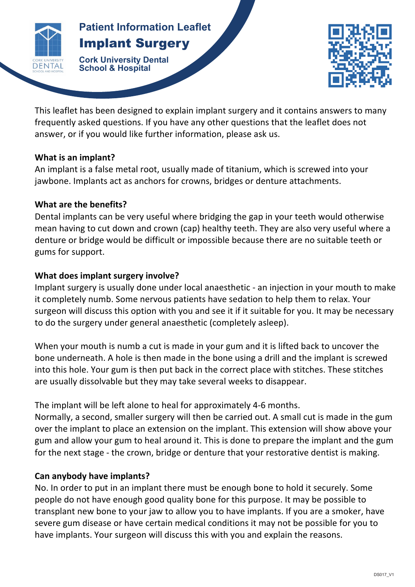

# **Parish Surgery Amplant Surgery Patient Information Leaflet**

**Cork University Dental School & Hospital**



This leaflet has been designed to explain implant surgery and it contains answers to many frequently asked questions. If you have any other questions that the leaflet does not answer, or if you would like further information, please ask us.

**IMPLANT** 

#### **What is an implant?**

An implant is a false metal root, usually made of titanium, which is screwed into your jawbone. Implants act as anchors for crowns, bridges or denture attachments.

## **What are the benefits?**

Dental implants can be very useful where bridging the gap in your teeth would otherwise mean having to cut down and crown (cap) healthy teeth. They are also very useful where a denture or bridge would be difficult or impossible because there are no suitable teeth or gums for support.

# **What does implant surgery involve?**

Implant surgery is usually done under local anaesthetic - an injection in your mouth to make it completely numb. Some nervous patients have sedation to help them to relax. Your surgeon will discuss this option with you and see it if it suitable for you. It may be necessary to do the surgery under general anaesthetic (completely asleep).

When your mouth is numb a cut is made in your gum and it is lifted back to uncover the bone underneath. A hole is then made in the bone using a drill and the implant is screwed into this hole. Your gum is then put back in the correct place with stitches. These stitches are usually dissolvable but they may take several weeks to disappear.

The implant will be left alone to heal for approximately 4-6 months.

Normally, a second, smaller surgery will then be carried out. A small cut is made in the gum over the implant to place an extension on the implant. This extension will show above your gum and allow your gum to heal around it. This is done to prepare the implant and the gum for the next stage - the crown, bridge or denture that your restorative dentist is making.

## **Can anybody have implants?**

No. In order to put in an implant there must be enough bone to hold it securely. Some people do not have enough good quality bone for this purpose. It may be possible to transplant new bone to your jaw to allow you to have implants. If you are a smoker, have severe gum disease or have certain medical conditions it may not be possible for you to have implants. Your surgeon will discuss this with you and explain the reasons.